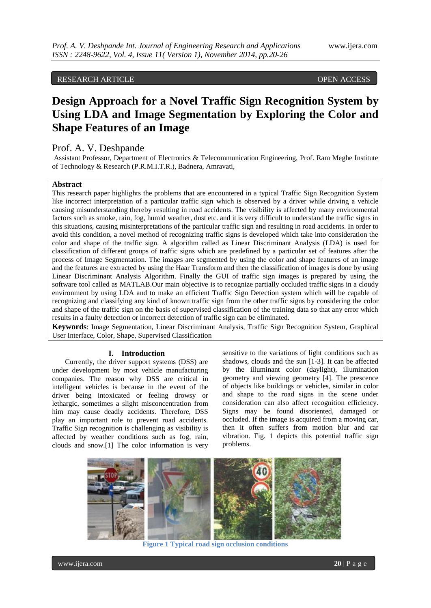# RESEARCH ARTICLE **CONTRACT ARTICLE**

# **Design Approach for a Novel Traffic Sign Recognition System by Using LDA and Image Segmentation by Exploring the Color and Shape Features of an Image**

# Prof. A. V. Deshpande

Assistant Professor, Department of Electronics & Telecommunication Engineering, Prof. Ram Meghe Institute of Technology & Research (P.R.M.I.T.R.), Badnera, Amravati,

### **Abstract**

This research paper highlights the problems that are encountered in a typical Traffic Sign Recognition System like incorrect interpretation of a particular traffic sign which is observed by a driver while driving a vehicle causing misunderstanding thereby resulting in road accidents. The visibility is affected by many environmental factors such as smoke, rain, fog, humid weather, dust etc. and it is very difficult to understand the traffic signs in this situations, causing misinterpretations of the particular traffic sign and resulting in road accidents. In order to avoid this condition, a novel method of recognizing traffic signs is developed which take into consideration the color and shape of the traffic sign. A algorithm called as Linear Discriminant Analysis (LDA) is used for classification of different groups of traffic signs which are predefined by a particular set of features after the process of Image Segmentation. The images are segmented by using the color and shape features of an image and the features are extracted by using the Haar Transform and then the classification of images is done by using Linear Discriminant Analysis Algorithm. Finally the GUI of traffic sign images is prepared by using the software tool called as MATLAB.Our main objective is to recognize partially occluded traffic signs in a cloudy environment by using LDA and to make an efficient Traffic Sign Detection system which will be capable of recognizing and classifying any kind of known traffic sign from the other traffic signs by considering the color and shape of the traffic sign on the basis of supervised classification of the training data so that any error which results in a faulty detection or incorrect detection of traffic sign can be eliminated.

**Keywords**: Image Segmentation, Linear Discriminant Analysis, Traffic Sign Recognition System, Graphical User Interface, Color, Shape, Supervised Classification

#### **I. Introduction**

Currently, the driver support systems (DSS) are under development by most vehicle manufacturing companies. The reason why DSS are critical in intelligent vehicles is because in the event of the driver being intoxicated or feeling drowsy or lethargic, sometimes a slight misconcentration from him may cause deadly accidents. Therefore, DSS play an important role to prevent road accidents. Traffic Sign recognition is challenging as visibility is affected by weather conditions such as fog, rain, clouds and snow.[1] The color information is very sensitive to the variations of light conditions such as shadows, clouds and the sun [1-3]. It can be affected by the illuminant color (daylight), illumination geometry and viewing geometry [4]. The prescence of objects like buildings or vehicles, similar in color and shape to the road signs in the scene under consideration can also affect recognition efficiency. Signs may be found disoriented, damaged or occluded. If the image is acquired from a moving car, then it often suffers from motion blur and car vibration. Fig. 1 depicts this potential traffic sign problems.



**Figure 1 Typical road sign occlusion conditions**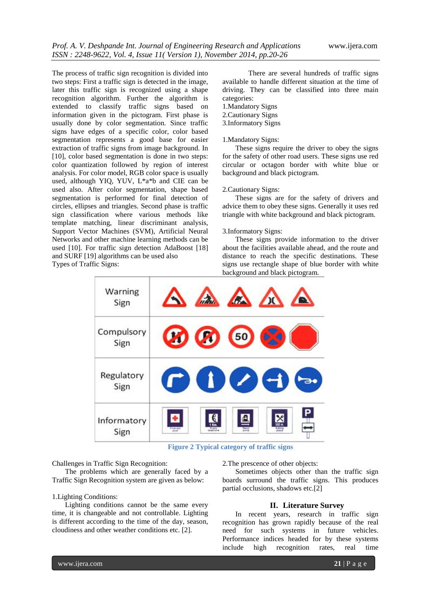The process of traffic sign recognition is divided into two steps: First a traffic sign is detected in the image, later this traffic sign is recognized using a shape recognition algorithm. Further the algorithm is extended to classify traffic signs based on information given in the pictogram. First phase is usually done by color segmentation. Since traffic signs have edges of a specific color, color based segmentation represents a good base for easier extraction of traffic signs from image background. In [10], color based segmentation is done in two steps: color quantization followed by region of interest analysis. For color model, RGB color space is usually used, although YIQ, YUV, L\*a\*b and CIE can be used also. After color segmentation, shape based segmentation is performed for final detection of circles, ellipses and triangles. Second phase is traffic sign classification where various methods like template matching, linear discriminant analysis, Support Vector Machines (SVM), Artificial Neural Networks and other machine learning methods can be used [10]. For traffic sign detection AdaBoost [18] and SURF [19] algorithms can be used also Types of Traffic Signs:

There are several hundreds of traffic signs available to handle different situation at the time of driving. They can be classified into three main categories:

- 1.Mandatory Signs
- 2.Cautionary Signs
- 3.Informatory Signs

#### 1.Mandatory Signs:

These signs require the driver to obey the signs for the safety of other road users. These signs use red circular or octagon border with white blue or background and black pictogram.

2.Cautionary Signs:

These signs are for the safety of drivers and advice them to obey these signs. Generally it uses red triangle with white background and black pictogram.

#### 3.Informatory Signs:

These signs provide information to the driver about the facilities available ahead, and the route and distance to reach the specific destinations. These signs use rectangle shape of blue border with white background and black pictogram.



 **Figure 2 Typical category of traffic signs**

Challenges in Traffic Sign Recognition:

The problems which are generally faced by a Traffic Sign Recognition system are given as below:

### 1.Lighting Conditions:

Lighting conditions cannot be the same every time, it is changeable and not controllable. Lighting is different according to the time of the day, season, cloudiness and other weather conditions etc. [2].

2.The prescence of other objects:

Sometimes objects other than the traffic sign boards surround the traffic signs. This produces partial occlusions, shadows etc.[2]

#### **II. Literature Survey**

In recent years, research in traffic sign recognition has grown rapidly because of the real need for such systems in future vehicles. Performance indices headed for by these systems include high recognition rates, real time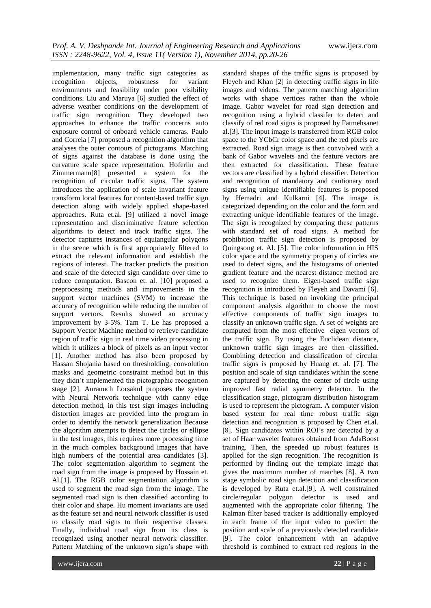implementation, many traffic sign categories as recognition objects, robustness for variant environments and feasibility under poor visibility conditions. Liu and Maruya [6] studied the effect of adverse weather conditions on the development of traffic sign recognition. They developed two approaches to enhance the traffic concerns auto exposure control of onboard vehicle cameras. Paulo and Correia [7] proposed a recognition algorithm that analyses the outer contours of pictograms. Matching of signs against the database is done using the curvature scale space representation. Hoferlin and Zimmermann[8] presented a system for the recognition of circular traffic signs. The system introduces the application of scale invariant feature transform local features for content-based traffic sign detection along with widely applied shape-based approaches. Ruta et.al. [9] utilized a novel image representation and discriminative feature selection algorithms to detect and track traffic signs. The detector captures instances of equiangular polygons in the scene which is first appropriately filtered to extract the relevant information and establish the regions of interest. The tracker predicts the position and scale of the detected sign candidate over time to reduce computation. Bascon et. al. [10] proposed a preprocessing methods and improvements in the support vector machines (SVM) to increase the accuracy of recognition while reducing the number of support vectors. Results showed an accuracy improvement by 3-5%. Tam T. Le has proposed a Support Vector Machine method to retrieve candidate region of traffic sign in real time video processing in which it utilizes a block of pixels as an input vector [1]. Another method has also been proposed by Hassan Shojania based on thresholding, convolution masks and geometric constraint method but in this they didn't implemented the pictographic recognition stage [2]. Auranuch Lorsakul proposes the system with Neural Network technique with canny edge detection method, in this test sign images including distortion images are provided into the program in order to identify the network generalization Because the algorithm attempts to detect the circles or ellipse in the test images, this requires more processing time in the much complex background images that have high numbers of the potential area candidates [3]. The color segmentation algorithm to segment the road sign from the image is proposed by Hossain et. Al.[1]. The RGB color segmentation algorithm is used to segment the road sign from the image. The segmented road sign is then classified according to their color and shape. Hu moment invariants are used as the feature set and neural network classifier is used to classify road signs to their respective classes. Finally, individual road sign from its class is recognized using another neural network classifier. Pattern Matching of the unknown sign's shape with

standard shapes of the traffic signs is proposed by Fleyeh and Khan [2] in detecting traffic signs in life images and videos. The pattern matching algorithm works with shape vertices rather than the whole image. Gabor wavelet for road sign detection and recognition using a hybrid classifer to detect and classify of red road signs is proposed by Fatmehsanet al.[3]. The input image is transferred from RGB color space to the YCbCr color space and the red pixels are extracted. Road sign image is then convolved with a bank of Gabor wavelets and the feature vectors are then extracted for classification. These feature vectors are classified by a hybrid classifier. Detection and recognition of mandatory and cautionary road signs using unique identifiable features is proposed by Hemadri and Kulkarni [4]. The image is categorized depending on the color and the form and extracting unique identifiable features of the image. The sign is recognized by comparing these patterns with standard set of road signs. A method for prohibition traffic sign detection is proposed by Quingsong et. Al. [5]. The color information in HIS color space and the symmetry property of circles are used to detect signs, and the histograms of oriented gradient feature and the nearest distance method are used to recognize them. Eigen-based traffic sign recognition is introduced by Fleyeh and Davami [6]. This technique is based on invoking the principal component analysis algorithm to choose the most effective components of traffic sign images to classify an unknown traffic sign. A set of weights are computed from the most effective eigen vectors of the traffic sign. By using the Euclidean distance, unknown traffic sign images are then classified. Combining detection and classification of circular traffic signs is proposed by Huang et. al. [7]. The position and scale of sign candidates within the scene are captured by detecting the center of circle using improved fast radial symmetry detector. In the classification stage, pictogram distribution histogram is used to represent the pictogram. A computer vision based system for real time robust traffic sign detection and recognition is proposed by Chen et.al. [8]. Sign candidates within ROI's are detected by a set of Haar wavelet features obtained from AdaBoost training. Then, the speeded up robust features is applied for the sign recognition. The recognition is performed by finding out the template image that gives the maximum number of matches [8]. A two stage symbolic road sign detection and classification is developed by Ruta et.al.[9]. A well constrained circle/regular polygon detector is used and augmented with the appropriate color filtering. The Kalman filter based tracker is additionally employed in each frame of the input video to predict the position and scale of a previously detected candidate [9]. The color enhancement with an adaptive threshold is combined to extract red regions in the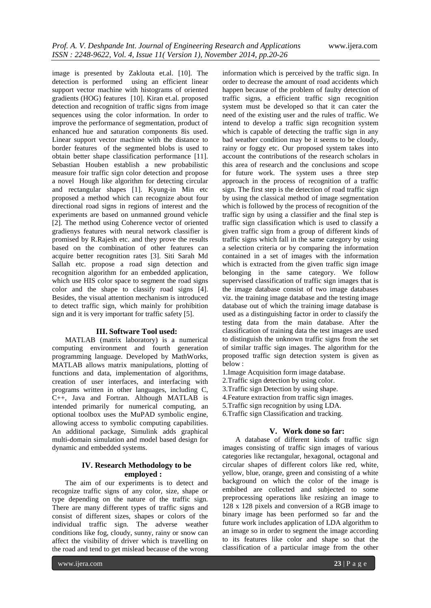image is presented by Zaklouta et.al. [10]. The detection is performed using an efficient linear support vector machine with histograms of oriented gradients (HOG) features [10]. Kiran et.al. proposed detection and recognition of traffic signs from image sequences using the color information. In order to improve the performance of segmentation, product of enhanced hue and saturation components 8is used. Linear support vector machine with the distance to border features of the segmented blobs is used to obtain better shape classification performance [11]. Sebastian Houben establish a new probabilistic measure foir traffic sign color detection and propose a novel Hough like algorithm for detecting circular and rectangular shapes [1]. Kyung-in Min etc proposed a method which can recognize about four directional road signs in regions of interest and the experiments are based on unmanned ground vehicle [2]. The method using Coherence vector of oriented gradienys features with neural network classifier is promised by R.Rajesh etc. and they prove the results based on the combination of other features can acquire better recognition rates [3]. Siti Sarah Md Sallah etc. propose a road sign detection and recognition algorithm for an embedded application, which use HIS color space to segment the road signs color and the shape to classify road signs [4]. Besides, the visual attention mechanism is introduced to detect traffic sign, which mainly for prohibition sign and it is very important for traffic safety [5].

#### **III. Software Tool used:**

MATLAB (matrix laboratory) is a numerical computing environment and fourth generation programming language. Developed by MathWorks, MATLAB allows matrix manipulations, plotting of functions and data, implementation of algorithms, creation of user interfaces, and interfacing with programs written in other languages, including C, C++, Java and Fortran. Although MATLAB is intended primarily for numerical computing, an optional toolbox uses the MuPAD symbolic engine, allowing access to symbolic computing capabilities. An additional package, Simulink adds graphical multi-domain simulation and model based design for dynamic and embedded systems.

## **IV. Research Methodology to be employed :**

The aim of our experiments is to detect and recognize traffic signs of any color, size, shape or type depending on the nature of the traffic sign. There are many different types of traffic signs and consist of different sizes, shapes or colors of the individual traffic sign. The adverse weather conditions like fog, cloudy, sunny, rainy or snow can affect the visibility of driver which is travelling on the road and tend to get mislead because of the wrong

information which is perceived by the traffic sign. In order to decrease the amount of road accidents which happen because of the problem of faulty detection of traffic signs, a efficient traffic sign recognition system must be developed so that it can cater the need of the existing user and the rules of traffic. We intend to develop a traffic sign recognition system which is capable of detecting the traffic sign in any bad weather condition may be it seems to be cloudy, rainy or foggy etc. Our proposed system takes into account the contributions of the research scholars in this area of research and the conclusions and scope for future work. The system uses a three step approach in the process of recognition of a traffic sign. The first step is the detection of road traffic sign by using the classical method of image segmentation which is followed by the process of recognition of the traffic sign by using a classifier and the final step is traffic sign classification which is used to classify a given traffic sign from a group of different kinds of traffic signs which fall in the same category by using a selection criteria or by comparing the information contained in a set of images with the information which is extracted from the given traffic sign image belonging in the same category. We follow supervised classification of traffic sign images that is the image database consist of two image databases viz. the training image database and the testing image database out of which the training image database is used as a distinguishing factor in order to classify the testing data from the main database. After the classification of training data the test images are used to distinguish the unknown traffic signs from the set of similar traffic sign images. The algorithm for the proposed traffic sign detection system is given as below :

- 1.Image Acquisition form image database.
- 2.Traffic sign detection by using color.
- 3.Traffic sign Detection by using shape.
- 4.Feature extraction from traffic sign images.
- 5.Traffic sign recognition by using LDA.
- 6.Traffic sign Classification and tracking.

#### **V. Work done so far:**

A database of different kinds of traffic sign images consisting of traffic sign images of various categories like rectangular, hexagonal, octagonal and circular shapes of different colors like red, white, yellow, blue, orange, green and consisting of a white background on which the color of the image is embibed are collected and subjected to some preprocessing operations like resizing an image to 128 x 128 pixels and conversion of a RGB image to binary image has been performed so far and the future work includes application of LDA algorithm to an image so in order to segment the image according to its features like color and shape so that the classification of a particular image from the other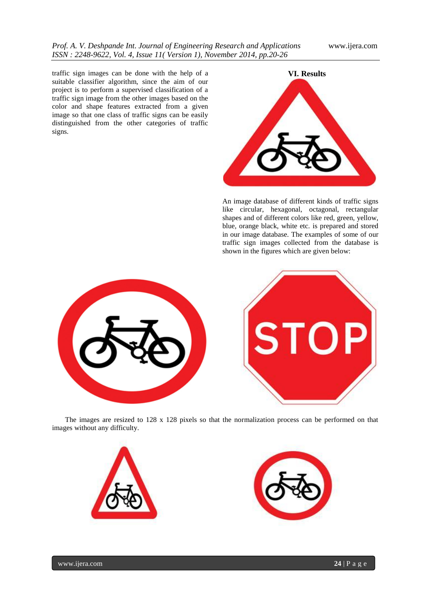traffic sign images can be done with the help of a suitable classifier algorithm, since the aim of our project is to perform a supervised classification of a traffic sign image from the other images based on the color and shape features extracted from a given image so that one class of traffic signs can be easily distinguished from the other categories of traffic signs.



An image database of different kinds of traffic signs like circular, hexagonal, octagonal, rectangular shapes and of different colors like red, green, yellow, blue, orange black, white etc. is prepared and stored in our image database. The examples of some of our traffic sign images collected from the database is shown in the figures which are given below:





The images are resized to 128 x 128 pixels so that the normalization process can be performed on that images without any difficulty.





www.ijera.com **24** | P a g e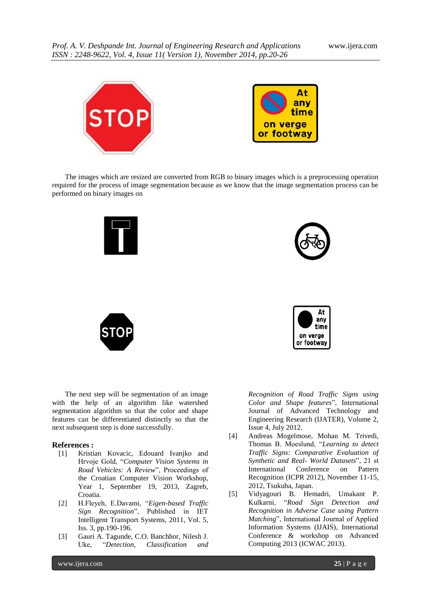

The images which are resized are converted from RGB to binary images which is a preprocessing operation required for the process of image segmentation because as we know that the image segmentation process can be performed on binary images on







The next step will be segmentation of an image with the help of an algorithm like watershed segmentation algorithm so that the color and shape features can be differentiated distinctly so that the next subsequent step is done successfully.

#### **References :**

- [1] Kristian Kovacic, Edouard Ivanjko and Hrvoje Gold, "*Computer Vision Systems in Road Vehicles: A Review*", Proceedings of the Croatian Computer Vision Workshop, Year 1, September 19, 2013, Zagreb, Croatia.
- [2] H.Fleyeh, E.Davami, "*Eigen-based Traffic Sign Recognition*", Published in IET Intelligent Transport Systems, 2011, Vol. 5, Iss. 3, pp.190-196.
- [3] Gauri A. Tagunde, C.O. Banchhor, Nilesh J. Uke, "*Detection, Classification and*

*Recognition of Road Traffic Signs using Color and Shape features*", International Journal of Advanced Technology and Engineering Research (IJATER), Volume 2, Issue 4, July 2012.

- [4] Andreas Mogelmose, Mohan M. Trivedi, Thomas B. Moeslund, "*Learning to detect Traffic Signs: Comparative Evaluation of Synthetic and Real- World Datasets*", 21 st International Conference on Pattern Recognition (ICPR 2012), November 11-15, 2012, Tsukuba, Japan.
- [5] Vidyagouri B. Hemadri, Umakant P. Kulkarni, "*Road Sign Detection and Recognition in Adverse Case using Pattern Matching*", International Journal of Applied Information Systems (IJAIS), International Conference & workshop on Advanced Computing 2013 (ICWAC 2013).